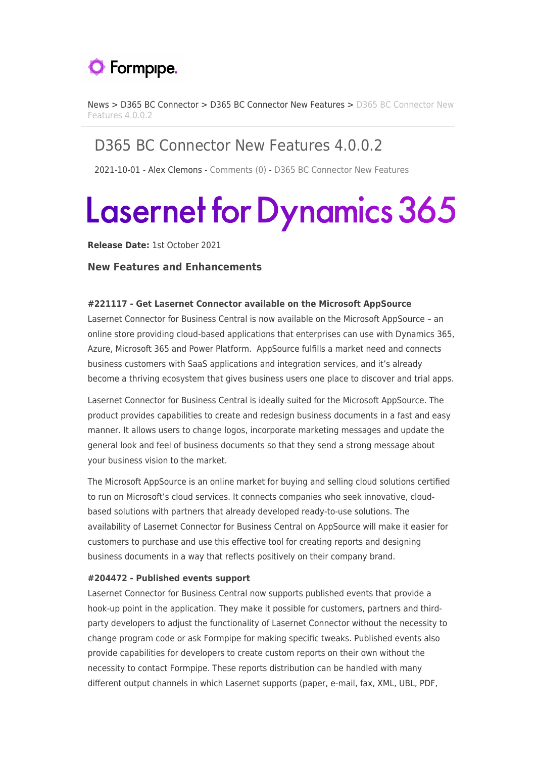

[News](https://support.formpipe.com/news) > [D365 BC Connector](https://support.formpipe.com/news/d365-bc-connector) > [D365 BC Connector New Features](https://support.formpipe.com/news/d365-bc-connector-new-features) > [D365 BC Connector New](https://support.formpipe.com/news/posts/d365-bc-connector-new-features-4-0-0-2) [Features 4.0.0.2](https://support.formpipe.com/news/posts/d365-bc-connector-new-features-4-0-0-2)

# D365 BC Connector New Features 4.0.0.2

2021-10-01 - Alex Clemons - [Comments \(0\)](#page--1-0) - [D365 BC Connector New Features](https://support.formpipe.com/news/d365-bc-connector-new-features)

# **Lasernet for Dynamics 365**

**Release Date:** 1st October 2021

#### **New Features and Enhancements**

#### **#221117 - Get Lasernet Connector available on the Microsoft AppSource**

Lasernet Connector for Business Central is now available on the Microsoft AppSource – an online store providing cloud-based applications that enterprises can use with Dynamics 365, Azure, Microsoft 365 and Power Platform. AppSource fulfills a market need and connects business customers with SaaS applications and integration services, and it's already become a thriving ecosystem that gives business users one place to discover and trial apps.

Lasernet Connector for Business Central is ideally suited for the Microsoft AppSource. The product provides capabilities to create and redesign business documents in a fast and easy manner. It allows users to change logos, incorporate marketing messages and update the general look and feel of business documents so that they send a strong message about your business vision to the market.

The Microsoft AppSource is an online market for buying and selling cloud solutions certified to run on Microsoft's cloud services. It connects companies who seek innovative, cloudbased solutions with partners that already developed ready-to-use solutions. The availability of Lasernet Connector for Business Central on AppSource will make it easier for customers to purchase and use this effective tool for creating reports and designing business documents in a way that reflects positively on their company brand.

#### **#204472 - Published events support**

Lasernet Connector for Business Central now supports published events that provide a hook-up point in the application. They make it possible for customers, partners and thirdparty developers to adjust the functionality of Lasernet Connector without the necessity to change program code or ask Formpipe for making specific tweaks. Published events also provide capabilities for developers to create custom reports on their own without the necessity to contact Formpipe. These reports distribution can be handled with many different output channels in which Lasernet supports (paper, e-mail, fax, XML, UBL, PDF,